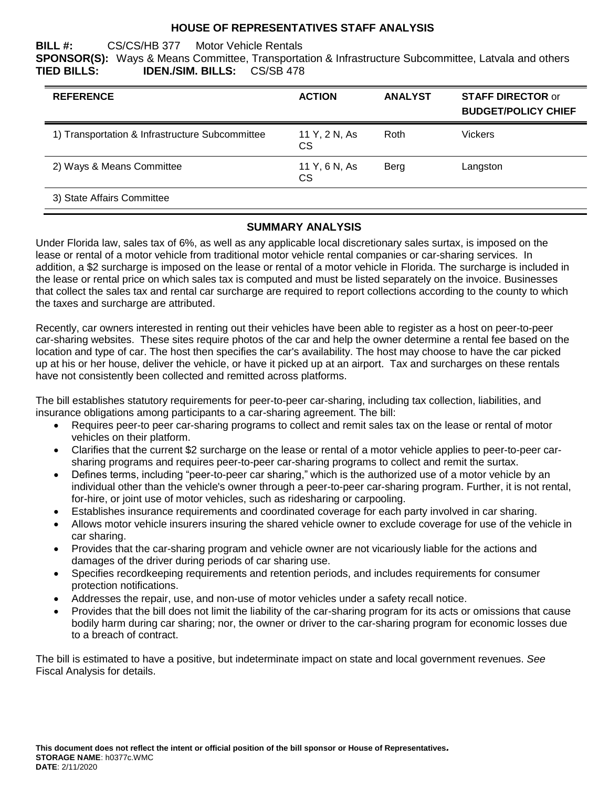### **HOUSE OF REPRESENTATIVES STAFF ANALYSIS**

**BILL #:** CS/CS/HB 377 Motor Vehicle Rentals **SPONSOR(S):** Ways & Means Committee, Transportation & Infrastructure Subcommittee, Latvala and others **TIED BILLS: IDEN./SIM. BILLS:** CS/SB 478

| <b>REFERENCE</b>                                | <b>ACTION</b>       | <b>ANALYST</b> | <b>STAFF DIRECTOR or</b><br><b>BUDGET/POLICY CHIEF</b> |
|-------------------------------------------------|---------------------|----------------|--------------------------------------------------------|
| 1) Transportation & Infrastructure Subcommittee | 11 Y, 2 N, As<br>CS | Roth           | <b>Vickers</b>                                         |
| 2) Ways & Means Committee                       | 11 Y, 6 N, As<br>CS | Berg           | Langston                                               |
| 3) State Affairs Committee                      |                     |                |                                                        |

#### **SUMMARY ANALYSIS**

Under Florida law, sales tax of 6%, as well as any applicable local discretionary sales surtax, is imposed on the lease or rental of a motor vehicle from traditional motor vehicle rental companies or car-sharing services. In addition, a \$2 surcharge is imposed on the lease or rental of a motor vehicle in Florida. The surcharge is included in the lease or rental price on which sales tax is computed and must be listed separately on the invoice. Businesses that collect the sales tax and rental car surcharge are required to report collections according to the county to which the taxes and surcharge are attributed.

Recently, car owners interested in renting out their vehicles have been able to register as a host on peer-to-peer car-sharing websites. These sites require photos of the car and help the owner determine a rental fee based on the location and type of car. The host then specifies the car's availability. The host may choose to have the car picked up at his or her house, deliver the vehicle, or have it picked up at an airport. Tax and surcharges on these rentals have not consistently been collected and remitted across platforms.

The bill establishes statutory requirements for peer-to-peer car-sharing, including tax collection, liabilities, and insurance obligations among participants to a car-sharing agreement. The bill:

- Requires peer-to peer car-sharing programs to collect and remit sales tax on the lease or rental of motor vehicles on their platform.
- Clarifies that the current \$2 surcharge on the lease or rental of a motor vehicle applies to peer-to-peer carsharing programs and requires peer-to-peer car-sharing programs to collect and remit the surtax.
- Defines terms, including "peer-to-peer car sharing," which is the authorized use of a motor vehicle by an individual other than the vehicle's owner through a peer-to-peer car-sharing program. Further, it is not rental, for-hire, or joint use of motor vehicles, such as ridesharing or carpooling.
- Establishes insurance requirements and coordinated coverage for each party involved in car sharing.
- Allows motor vehicle insurers insuring the shared vehicle owner to exclude coverage for use of the vehicle in car sharing.
- Provides that the car-sharing program and vehicle owner are not vicariously liable for the actions and damages of the driver during periods of car sharing use.
- Specifies recordkeeping requirements and retention periods, and includes requirements for consumer protection notifications.
- Addresses the repair, use, and non-use of motor vehicles under a safety recall notice.
- Provides that the bill does not limit the liability of the car-sharing program for its acts or omissions that cause bodily harm during car sharing; nor, the owner or driver to the car-sharing program for economic losses due to a breach of contract.

The bill is estimated to have a positive, but indeterminate impact on state and local government revenues. *See* Fiscal Analysis for details.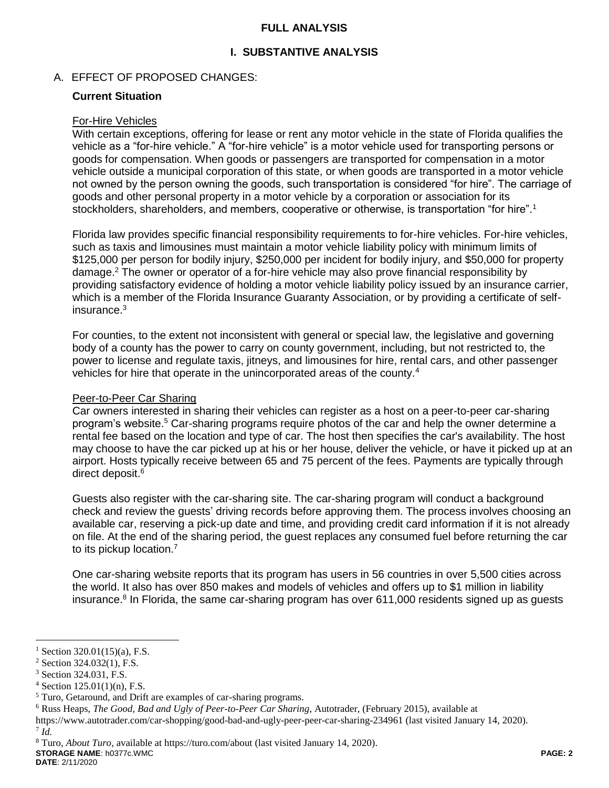### **FULL ANALYSIS**

## **I. SUBSTANTIVE ANALYSIS**

## A. EFFECT OF PROPOSED CHANGES:

### **Current Situation**

#### For-Hire Vehicles

With certain exceptions, offering for lease or rent any motor vehicle in the state of Florida qualifies the vehicle as a "for-hire vehicle." A "for-hire vehicle" is a motor vehicle used for transporting persons or goods for compensation. When goods or passengers are transported for compensation in a motor vehicle outside a municipal corporation of this state, or when goods are transported in a motor vehicle not owned by the person owning the goods, such transportation is considered "for hire". The carriage of goods and other personal property in a motor vehicle by a corporation or association for its stockholders, shareholders, and members, cooperative or otherwise, is transportation "for hire".<sup>1</sup>

Florida law provides specific financial responsibility requirements to for-hire vehicles. For-hire vehicles, such as taxis and limousines must maintain a motor vehicle liability policy with minimum limits of \$125,000 per person for bodily injury, \$250,000 per incident for bodily injury, and \$50,000 for property damage.<sup>2</sup> The owner or operator of a for-hire vehicle may also prove financial responsibility by providing satisfactory evidence of holding a motor vehicle liability policy issued by an insurance carrier, which is a member of the Florida Insurance Guaranty Association, or by providing a certificate of selfinsurance.<sup>3</sup>

For counties, to the extent not inconsistent with general or special law, the legislative and governing body of a county has the power to carry on county government, including, but not restricted to, the power to license and regulate taxis, jitneys, and limousines for hire, rental cars, and other passenger vehicles for hire that operate in the unincorporated areas of the county.<sup>4</sup>

#### Peer-to-Peer Car Sharing

Car owners interested in sharing their vehicles can register as a host on a peer-to-peer car-sharing program's website.<sup>5</sup> Car-sharing programs require photos of the car and help the owner determine a rental fee based on the location and type of car. The host then specifies the car's availability. The host may choose to have the car picked up at his or her house, deliver the vehicle, or have it picked up at an airport. Hosts typically receive between 65 and 75 percent of the fees. Payments are typically through direct deposit.<sup>6</sup>

Guests also register with the car-sharing site. The car-sharing program will conduct a background check and review the guests' driving records before approving them. The process involves choosing an available car, reserving a pick-up date and time, and providing credit card information if it is not already on file. At the end of the sharing period, the guest replaces any consumed fuel before returning the car to its pickup location.<sup>7</sup>

One car-sharing website reports that its program has users in 56 countries in over 5,500 cities across the world. It also has over 850 makes and models of vehicles and offers up to \$1 million in liability insurance.<sup>8</sup> In Florida, the same car-sharing program has over 611,000 residents signed up as guests

7 *Id.* 

 $\overline{a}$ 

**DATE**: 2/11/2020

Section  $320.01(15)(a)$ , F.S.

 $2$  Section 324.032(1), F.S.

<sup>3</sup> Section 324.031, F.S.

 $4$  Section 125.01(1)(n), F.S.

<sup>5</sup> Turo, Getaround, and Drift are examples of car-sharing programs.

<sup>6</sup> Russ Heaps, *The Good, Bad and Ugly of Peer-to-Peer Car Sharing*, Autotrader, (February 2015), available at

https://www.autotrader.com/car-shopping/good-bad-and-ugly-peer-peer-car-sharing-234961 (last visited January 14, 2020).

**STORAGE NAME**: h0377c.WMC **PAGE: 2** <sup>8</sup> Turo, *About Turo*, available at https://turo.com/about (last visited January 14, 2020).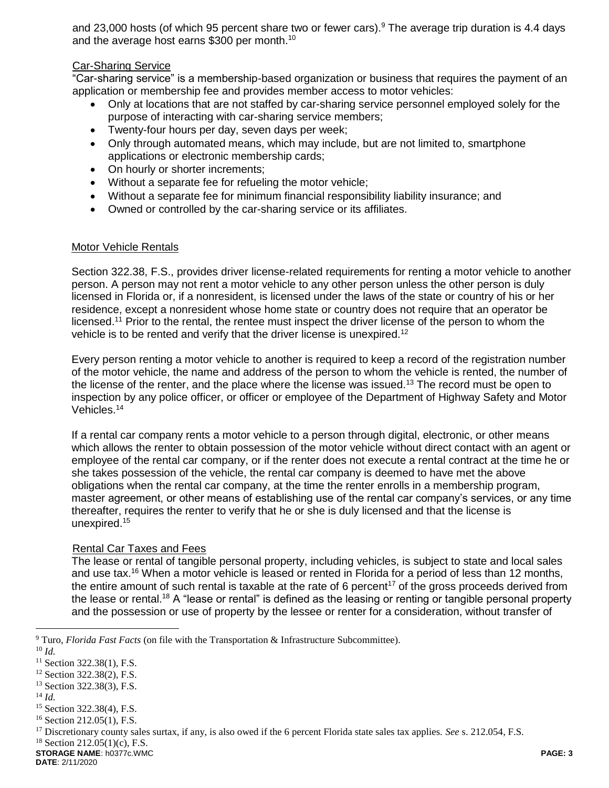and 23,000 hosts (of which 95 percent share two or fewer cars).<sup>9</sup> The average trip duration is 4.4 days and the average host earns \$300 per month.<sup>10</sup>

### Car-Sharing Service

"Car-sharing service" is a membership-based organization or business that requires the payment of an application or membership fee and provides member access to motor vehicles:

- Only at locations that are not staffed by car-sharing service personnel employed solely for the purpose of interacting with car-sharing service members;
- Twenty-four hours per day, seven days per week;
- Only through automated means, which may include, but are not limited to, smartphone applications or electronic membership cards;
- On hourly or shorter increments;
- Without a separate fee for refueling the motor vehicle;
- Without a separate fee for minimum financial responsibility liability insurance; and
- Owned or controlled by the car-sharing service or its affiliates.

#### Motor Vehicle Rentals

Section 322.38, F.S., provides driver license-related requirements for renting a motor vehicle to another person. A person may not rent a motor vehicle to any other person unless the other person is duly licensed in Florida or, if a nonresident, is licensed under the laws of the state or country of his or her residence, except a nonresident whose home state or country does not require that an operator be licensed.<sup>11</sup> Prior to the rental, the rentee must inspect the driver license of the person to whom the vehicle is to be rented and verify that the driver license is unexpired.<sup>12</sup>

Every person renting a motor vehicle to another is required to keep a record of the registration number of the motor vehicle, the name and address of the person to whom the vehicle is rented, the number of the license of the renter, and the place where the license was issued.<sup>13</sup> The record must be open to inspection by any police officer, or officer or employee of the Department of Highway Safety and Motor Vehicles. 14

If a rental car company rents a motor vehicle to a person through digital, electronic, or other means which allows the renter to obtain possession of the motor vehicle without direct contact with an agent or employee of the rental car company, or if the renter does not execute a rental contract at the time he or she takes possession of the vehicle, the rental car company is deemed to have met the above obligations when the rental car company, at the time the renter enrolls in a membership program, master agreement, or other means of establishing use of the rental car company's services, or any time thereafter, requires the renter to verify that he or she is duly licensed and that the license is unexpired.<sup>15</sup>

#### Rental Car Taxes and Fees

The lease or rental of tangible personal property, including vehicles, is subject to state and local sales and use tax. <sup>16</sup> When a motor vehicle is leased or rented in Florida for a period of less than 12 months, the entire amount of such rental is taxable at the rate of 6 percent<sup>17</sup> of the gross proceeds derived from the lease or rental.<sup>18</sup> A "lease or rental" is defined as the leasing or renting or tangible personal property and the possession or use of property by the lessee or renter for a consideration, without transfer of

 $\overline{a}$ 

<sup>14</sup> *Id.*

 $18$  Section 212.05(1)(c), F.S.

<sup>9</sup> Turo, *Florida Fast Facts* (on file with the Transportation & Infrastructure Subcommittee).

<sup>10</sup> *Id.*

<sup>&</sup>lt;sup>11</sup> Section 322.38(1), F.S.

<sup>&</sup>lt;sup>12</sup> Section 322.38(2), F.S.

<sup>13</sup> Section 322.38(3), F.S.

<sup>15</sup> Section 322.38(4), F.S.

<sup>16</sup> Section 212.05(1), F.S.

<sup>17</sup> Discretionary county sales surtax, if any, is also owed if the 6 percent Florida state sales tax applies. *See* s. 212.054, F.S.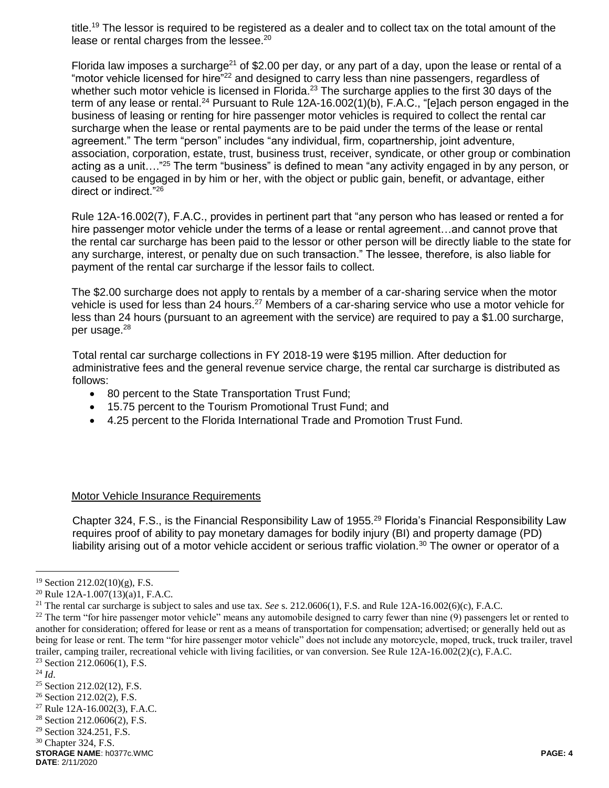title.<sup>19</sup> The lessor is required to be registered as a dealer and to collect tax on the total amount of the lease or rental charges from the lessee.<sup>20</sup>

Florida law imposes a surcharge<sup>21</sup> of \$2.00 per day, or any part of a day, upon the lease or rental of a "motor vehicle licensed for hire"<sup>22</sup> and designed to carry less than nine passengers, regardless of whether such motor vehicle is licensed in Florida.<sup>23</sup> The surcharge applies to the first 30 days of the term of any lease or rental.<sup>24</sup> Pursuant to Rule 12A-16.002(1)(b), F.A.C., "[e]ach person engaged in the business of leasing or renting for hire passenger motor vehicles is required to collect the rental car surcharge when the lease or rental payments are to be paid under the terms of the lease or rental agreement." The term "person" includes "any individual, firm, copartnership, joint adventure, association, corporation, estate, trust, business trust, receiver, syndicate, or other group or combination acting as a unit…."<sup>25</sup> The term "business" is defined to mean "any activity engaged in by any person, or caused to be engaged in by him or her, with the object or public gain, benefit, or advantage, either direct or indirect."<sup>26</sup>

Rule 12A-16.002(7), F.A.C., provides in pertinent part that "any person who has leased or rented a for hire passenger motor vehicle under the terms of a lease or rental agreement...and cannot prove that the rental car surcharge has been paid to the lessor or other person will be directly liable to the state for any surcharge, interest, or penalty due on such transaction." The lessee, therefore, is also liable for payment of the rental car surcharge if the lessor fails to collect.

The \$2.00 surcharge does not apply to rentals by a member of a car-sharing service when the motor vehicle is used for less than 24 hours.<sup>27</sup> Members of a car-sharing service who use a motor vehicle for less than 24 hours (pursuant to an agreement with the service) are required to pay a \$1.00 surcharge, per usage.<sup>28</sup>

Total rental car surcharge collections in FY 2018-19 were \$195 million. After deduction for administrative fees and the general revenue service charge, the rental car surcharge is distributed as follows:

- 80 percent to the State Transportation Trust Fund;
- 15.75 percent to the Tourism Promotional Trust Fund; and
- 4.25 percent to the Florida International Trade and Promotion Trust Fund.

#### Motor Vehicle Insurance Requirements

Chapter 324, F.S., is the Financial Responsibility Law of 1955.<sup>29</sup> Florida's Financial Responsibility Law requires proof of ability to pay monetary damages for bodily injury (BI) and property damage (PD) liability arising out of a motor vehicle accident or serious traffic violation.<sup>30</sup> The owner or operator of a

 $19$  Section 212.02(10)(g), F.S.

<sup>20</sup> Rule 12A-1.007(13)(a)1, F.A.C.

<sup>21</sup> The rental car surcharge is subject to sales and use tax. *See* s. 212.0606(1), F.S. and Rule 12A-16.002(6)(c), F.A.C.

<sup>&</sup>lt;sup>22</sup> The term "for hire passenger motor vehicle" means any automobile designed to carry fewer than nine (9) passengers let or rented to another for consideration; offered for lease or rent as a means of transportation for compensation; advertised; or generally held out as being for lease or rent. The term "for hire passenger motor vehicle" does not include any motorcycle, moped, truck, truck trailer, travel trailer, camping trailer, recreational vehicle with living facilities, or van conversion. See Rule 12A-16.002(2)(c), F.A.C. <sup>23</sup> Section 212.0606(1), F.S.

<sup>24</sup> *Id*.

<sup>25</sup> Section 212.02(12), F.S.

<sup>26</sup> Section 212.02(2), F.S.

<sup>27</sup> Rule 12A-16.002(3), F.A.C.

<sup>28</sup> Section 212.0606(2), F.S.

<sup>29</sup> Section 324.251, F.S.

<sup>30</sup> Chapter 324, F.S.

**STORAGE NAME**: h0377c.WMC **PAGE: 4 DATE**: 2/11/2020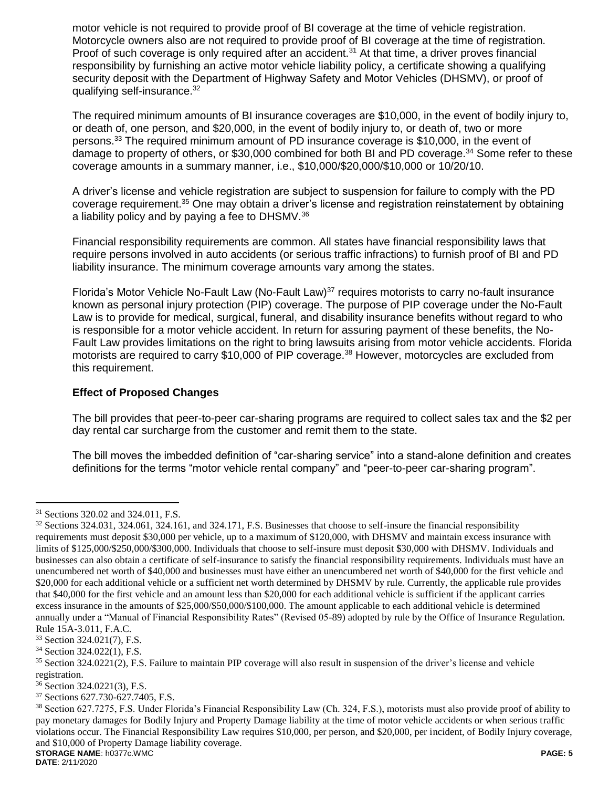motor vehicle is not required to provide proof of BI coverage at the time of vehicle registration. Motorcycle owners also are not required to provide proof of BI coverage at the time of registration. Proof of such coverage is only required after an accident.<sup>31</sup> At that time, a driver proves financial responsibility by furnishing an active motor vehicle liability policy, a certificate showing a qualifying security deposit with the Department of Highway Safety and Motor Vehicles (DHSMV), or proof of qualifying self-insurance.<sup>32</sup>

The required minimum amounts of BI insurance coverages are \$10,000, in the event of bodily injury to, or death of, one person, and \$20,000, in the event of bodily injury to, or death of, two or more persons.<sup>33</sup> The required minimum amount of PD insurance coverage is \$10,000, in the event of damage to property of others, or \$30,000 combined for both BI and PD coverage.<sup>34</sup> Some refer to these coverage amounts in a summary manner, i.e., \$10,000/\$20,000/\$10,000 or 10/20/10.

A driver's license and vehicle registration are subject to suspension for failure to comply with the PD coverage requirement.<sup>35</sup> One may obtain a driver's license and registration reinstatement by obtaining a liability policy and by paying a fee to DHSMV.<sup>36</sup>

Financial responsibility requirements are common. All states have financial responsibility laws that require persons involved in auto accidents (or serious traffic infractions) to furnish proof of BI and PD liability insurance. The minimum coverage amounts vary among the states.

Florida's Motor Vehicle No-Fault Law (No-Fault Law)<sup>37</sup> requires motorists to carry no-fault insurance known as personal injury protection (PIP) coverage. The purpose of PIP coverage under the No-Fault Law is to provide for medical, surgical, funeral, and disability insurance benefits without regard to who is responsible for a motor vehicle accident. In return for assuring payment of these benefits, the No-Fault Law provides limitations on the right to bring lawsuits arising from motor vehicle accidents. Florida motorists are required to carry \$10,000 of PIP coverage.<sup>38</sup> However, motorcycles are excluded from this requirement.

## **Effect of Proposed Changes**

The bill provides that peer-to-peer car-sharing programs are required to collect sales tax and the \$2 per day rental car surcharge from the customer and remit them to the state.

The bill moves the imbedded definition of "car-sharing service" into a stand-alone definition and creates definitions for the terms "motor vehicle rental company" and "peer-to-peer car-sharing program".

<sup>&</sup>lt;sup>31</sup> Sections 320.02 and 324.011, F.S.

<sup>&</sup>lt;sup>32</sup> Sections 324.031, 324.061, 324.161, and 324.171, F.S. Businesses that choose to self-insure the financial responsibility requirements must deposit \$30,000 per vehicle, up to a maximum of \$120,000, with DHSMV and maintain excess insurance with limits of \$125,000/\$250,000/\$300,000. Individuals that choose to self-insure must deposit \$30,000 with DHSMV. Individuals and businesses can also obtain a certificate of self-insurance to satisfy the financial responsibility requirements. Individuals must have an unencumbered net worth of \$40,000 and businesses must have either an unencumbered net worth of \$40,000 for the first vehicle and \$20,000 for each additional vehicle or a sufficient net worth determined by DHSMV by rule. Currently, the applicable rule provides that \$40,000 for the first vehicle and an amount less than \$20,000 for each additional vehicle is sufficient if the applicant carries excess insurance in the amounts of \$25,000/\$50,000/\$100,000. The amount applicable to each additional vehicle is determined annually under a "Manual of Financial Responsibility Rates" (Revised 05-89) adopted by rule by the Office of Insurance Regulation. Rule 15A-3.011, F.A.C.

<sup>33</sup> Section 324.021(7), F.S.

<sup>34</sup> Section 324.022(1), F.S.

<sup>35</sup> Section 324.0221(2), F.S. Failure to maintain PIP coverage will also result in suspension of the driver's license and vehicle registration.

<sup>36</sup> Section 324.0221(3), F.S.

<sup>37</sup> Sections 627.730-627.7405, F.S.

**STORAGE NAME**: h0377c.WMC **PAGE: 5** <sup>38</sup> Section 627.7275, F.S. Under Florida's Financial Responsibility Law (Ch. 324, F.S.), motorists must also provide proof of ability to pay monetary damages for Bodily Injury and Property Damage liability at the time of motor vehicle accidents or when serious traffic violations occur. The Financial Responsibility Law requires \$10,000, per person, and \$20,000, per incident, of Bodily Injury coverage, and \$10,000 of Property Damage liability coverage.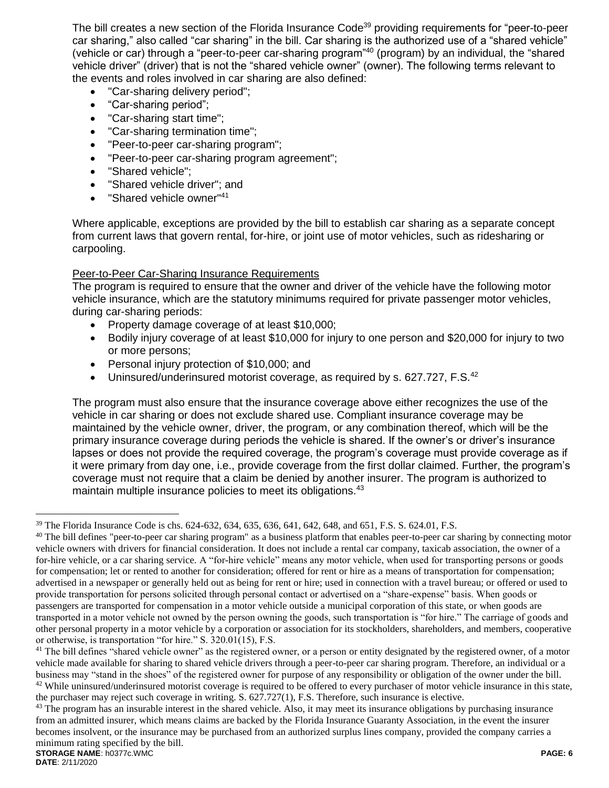The bill creates a new section of the Florida Insurance Code<sup>39</sup> providing requirements for "peer-to-peer car sharing," also called "car sharing" in the bill. Car sharing is the authorized use of a "shared vehicle" (vehicle or car) through a "peer-to-peer car-sharing program"<sup>40</sup> (program) by an individual, the "shared vehicle driver" (driver) that is not the "shared vehicle owner" (owner). The following terms relevant to the events and roles involved in car sharing are also defined:

- "Car-sharing delivery period";
- "Car-sharing period";
- "Car-sharing start time";
- "Car-sharing termination time";
- "Peer-to-peer car-sharing program";
- "Peer-to-peer car-sharing program agreement";
- "Shared vehicle":
- "Shared vehicle driver"; and
- "Shared vehicle owner"<sup>41</sup>

Where applicable, exceptions are provided by the bill to establish car sharing as a separate concept from current laws that govern rental, for-hire, or joint use of motor vehicles, such as ridesharing or carpooling.

## Peer-to-Peer Car-Sharing Insurance Requirements

The program is required to ensure that the owner and driver of the vehicle have the following motor vehicle insurance, which are the statutory minimums required for private passenger motor vehicles, during car-sharing periods:

- Property damage coverage of at least \$10,000;
- Bodily injury coverage of at least \$10,000 for injury to one person and \$20,000 for injury to two or more persons;
- Personal injury protection of \$10,000; and
- Uninsured/underinsured motorist coverage, as required by s. 627.727, F.S.<sup>42</sup>

The program must also ensure that the insurance coverage above either recognizes the use of the vehicle in car sharing or does not exclude shared use. Compliant insurance coverage may be maintained by the vehicle owner, driver, the program, or any combination thereof, which will be the primary insurance coverage during periods the vehicle is shared. If the owner's or driver's insurance lapses or does not provide the required coverage, the program's coverage must provide coverage as if it were primary from day one, i.e., provide coverage from the first dollar claimed. Further, the program's coverage must not require that a claim be denied by another insurer. The program is authorized to maintain multiple insurance policies to meet its obligations.<sup>43</sup>

<sup>39</sup> The Florida Insurance Code is chs. 624-632, 634, 635, 636, 641, 642, 648, and 651, F.S. S. 624.01, F.S.

<sup>&</sup>lt;sup>40</sup> The bill defines "peer-to-peer car sharing program" as a business platform that enables peer-to-peer car sharing by connecting motor vehicle owners with drivers for financial consideration. It does not include a rental car company, taxicab association, the owner of a for-hire vehicle, or a car sharing service. A "for-hire vehicle" means any motor vehicle, when used for transporting persons or goods for compensation; let or rented to another for consideration; offered for rent or hire as a means of transportation for compensation; advertised in a newspaper or generally held out as being for rent or hire; used in connection with a travel bureau; or offered or used to provide transportation for persons solicited through personal contact or advertised on a "share-expense" basis. When goods or passengers are transported for compensation in a motor vehicle outside a municipal corporation of this state, or when goods are transported in a motor vehicle not owned by the person owning the goods, such transportation is "for hire." The carriage of goods and other personal property in a motor vehicle by a corporation or association for its stockholders, shareholders, and members, cooperative or otherwise, is transportation "for hire." S. 320.01(15), F.S.

<sup>&</sup>lt;sup>41</sup> The bill defines "shared vehicle owner" as the registered owner, or a person or entity designated by the registered owner, of a motor vehicle made available for sharing to shared vehicle drivers through a peer-to-peer car sharing program. Therefore, an individual or a business may "stand in the shoes" of the registered owner for purpose of any responsibility or obligation of the owner under the bill. <sup>42</sup> While uninsured/underinsured motorist coverage is required to be offered to every purchaser of motor vehicle insurance in this state, the purchaser may reject such coverage in writing. S. 627.727(1), F.S. Therefore, such insurance is elective.

**STORAGE NAME**: h0377c.WMC **PAGE: 6** <sup>43</sup> The program has an insurable interest in the shared vehicle. Also, it may meet its insurance obligations by purchasing insurance from an admitted insurer, which means claims are backed by the Florida Insurance Guaranty Association, in the event the insurer becomes insolvent, or the insurance may be purchased from an authorized surplus lines company, provided the company carries a minimum rating specified by the bill.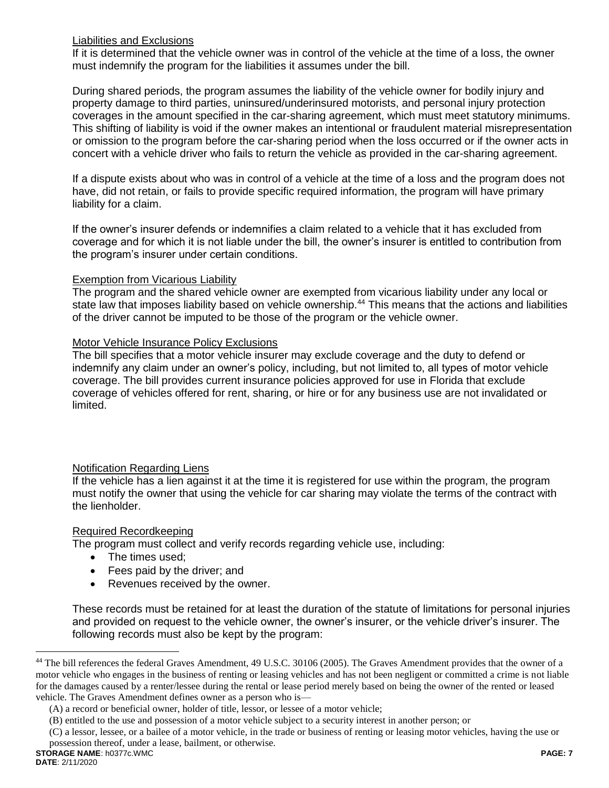## Liabilities and Exclusions

If it is determined that the vehicle owner was in control of the vehicle at the time of a loss, the owner must indemnify the program for the liabilities it assumes under the bill.

During shared periods, the program assumes the liability of the vehicle owner for bodily injury and property damage to third parties, uninsured/underinsured motorists, and personal injury protection coverages in the amount specified in the car-sharing agreement, which must meet statutory minimums. This shifting of liability is void if the owner makes an intentional or fraudulent material misrepresentation or omission to the program before the car-sharing period when the loss occurred or if the owner acts in concert with a vehicle driver who fails to return the vehicle as provided in the car-sharing agreement.

If a dispute exists about who was in control of a vehicle at the time of a loss and the program does not have, did not retain, or fails to provide specific required information, the program will have primary liability for a claim.

If the owner's insurer defends or indemnifies a claim related to a vehicle that it has excluded from coverage and for which it is not liable under the bill, the owner's insurer is entitled to contribution from the program's insurer under certain conditions.

#### Exemption from Vicarious Liability

The program and the shared vehicle owner are exempted from vicarious liability under any local or state law that imposes liability based on vehicle ownership.<sup>44</sup> This means that the actions and liabilities of the driver cannot be imputed to be those of the program or the vehicle owner.

#### Motor Vehicle Insurance Policy Exclusions

The bill specifies that a motor vehicle insurer may exclude coverage and the duty to defend or indemnify any claim under an owner's policy, including, but not limited to, all types of motor vehicle coverage. The bill provides current insurance policies approved for use in Florida that exclude coverage of vehicles offered for rent, sharing, or hire or for any business use are not invalidated or limited.

## Notification Regarding Liens

If the vehicle has a lien against it at the time it is registered for use within the program, the program must notify the owner that using the vehicle for car sharing may violate the terms of the contract with the lienholder.

#### Required Recordkeeping

The program must collect and verify records regarding vehicle use, including:

- The times used;
- Fees paid by the driver; and
- Revenues received by the owner.

These records must be retained for at least the duration of the statute of limitations for personal injuries and provided on request to the vehicle owner, the owner's insurer, or the vehicle driver's insurer. The following records must also be kept by the program:

<sup>&</sup>lt;sup>44</sup> The bill references the federal Graves Amendment, 49 U.S.C. 30106 (2005). The Graves Amendment provides that the owner of a motor vehicle who engages in the business of renting or leasing vehicles and has not been negligent or committed a crime is not liable for the damages caused by a renter/lessee during the rental or lease period merely based on being the owner of the rented or leased vehicle. The Graves Amendment defines owner as a person who is—

<sup>(</sup>A) a record or beneficial owner, holder of title, lessor, or lessee of a motor vehicle;

<sup>(</sup>B) entitled to the use and possession of a motor vehicle subject to a security interest in another person; or

<sup>(</sup>C) a lessor, lessee, or a bailee of a motor vehicle, in the trade or business of renting or leasing motor vehicles, having the use or possession thereof, under a lease, bailment, or otherwise.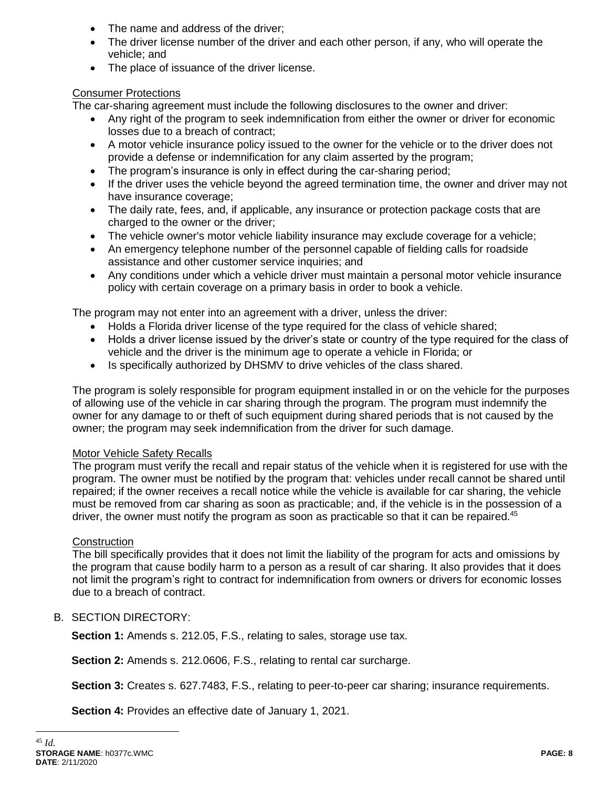- The name and address of the driver;
- The driver license number of the driver and each other person, if any, who will operate the vehicle; and
- The place of issuance of the driver license.

# Consumer Protections

The car-sharing agreement must include the following disclosures to the owner and driver:

- Any right of the program to seek indemnification from either the owner or driver for economic losses due to a breach of contract;
- A motor vehicle insurance policy issued to the owner for the vehicle or to the driver does not provide a defense or indemnification for any claim asserted by the program;
- The program's insurance is only in effect during the car-sharing period;
- If the driver uses the vehicle beyond the agreed termination time, the owner and driver may not have insurance coverage;
- The daily rate, fees, and, if applicable, any insurance or protection package costs that are charged to the owner or the driver;
- The vehicle owner's motor vehicle liability insurance may exclude coverage for a vehicle;
- An emergency telephone number of the personnel capable of fielding calls for roadside assistance and other customer service inquiries; and
- Any conditions under which a vehicle driver must maintain a personal motor vehicle insurance policy with certain coverage on a primary basis in order to book a vehicle.

The program may not enter into an agreement with a driver, unless the driver:

- Holds a Florida driver license of the type required for the class of vehicle shared;
- Holds a driver license issued by the driver's state or country of the type required for the class of vehicle and the driver is the minimum age to operate a vehicle in Florida; or
- Is specifically authorized by DHSMV to drive vehicles of the class shared.

The program is solely responsible for program equipment installed in or on the vehicle for the purposes of allowing use of the vehicle in car sharing through the program. The program must indemnify the owner for any damage to or theft of such equipment during shared periods that is not caused by the owner; the program may seek indemnification from the driver for such damage.

# Motor Vehicle Safety Recalls

The program must verify the recall and repair status of the vehicle when it is registered for use with the program. The owner must be notified by the program that: vehicles under recall cannot be shared until repaired; if the owner receives a recall notice while the vehicle is available for car sharing, the vehicle must be removed from car sharing as soon as practicable; and, if the vehicle is in the possession of a driver, the owner must notify the program as soon as practicable so that it can be repaired.<sup>45</sup>

# **Construction**

The bill specifically provides that it does not limit the liability of the program for acts and omissions by the program that cause bodily harm to a person as a result of car sharing. It also provides that it does not limit the program's right to contract for indemnification from owners or drivers for economic losses due to a breach of contract.

# B. SECTION DIRECTORY:

**Section 1:** Amends s. 212.05, F.S., relating to sales, storage use tax.

**Section 2:** Amends s. 212.0606, F.S., relating to rental car surcharge.

**Section 3:** Creates s. 627.7483, F.S., relating to peer-to-peer car sharing; insurance requirements.

**Section 4:** Provides an effective date of January 1, 2021.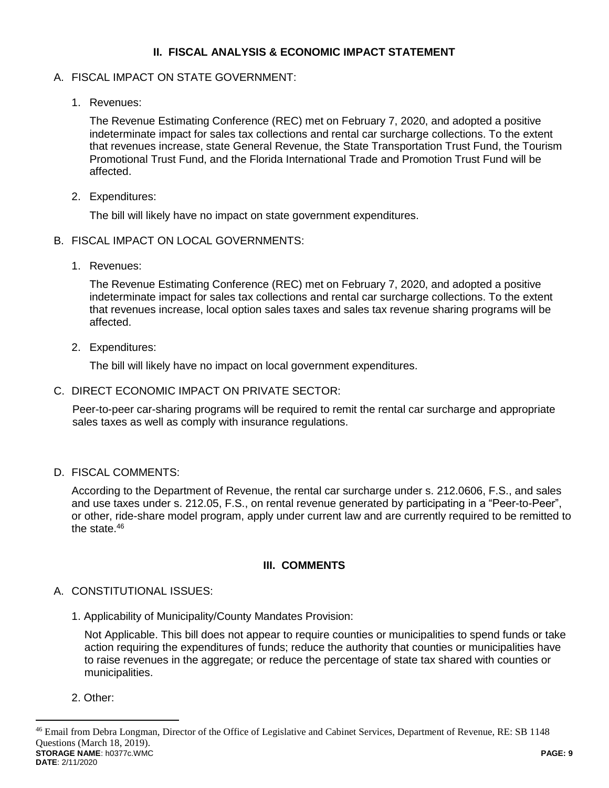## **II. FISCAL ANALYSIS & ECONOMIC IMPACT STATEMENT**

## A. FISCAL IMPACT ON STATE GOVERNMENT:

1. Revenues:

The Revenue Estimating Conference (REC) met on February 7, 2020, and adopted a positive indeterminate impact for sales tax collections and rental car surcharge collections. To the extent that revenues increase, state General Revenue, the State Transportation Trust Fund, the Tourism Promotional Trust Fund, and the Florida International Trade and Promotion Trust Fund will be affected.

2. Expenditures:

The bill will likely have no impact on state government expenditures.

- B. FISCAL IMPACT ON LOCAL GOVERNMENTS:
	- 1. Revenues:

The Revenue Estimating Conference (REC) met on February 7, 2020, and adopted a positive indeterminate impact for sales tax collections and rental car surcharge collections. To the extent that revenues increase, local option sales taxes and sales tax revenue sharing programs will be affected.

2. Expenditures:

The bill will likely have no impact on local government expenditures.

C. DIRECT ECONOMIC IMPACT ON PRIVATE SECTOR:

Peer-to-peer car-sharing programs will be required to remit the rental car surcharge and appropriate sales taxes as well as comply with insurance regulations.

D. FISCAL COMMENTS:

According to the Department of Revenue, the rental car surcharge under s. 212.0606, F.S., and sales and use taxes under s. 212.05, F.S., on rental revenue generated by participating in a "Peer-to-Peer", or other, ride-share model program, apply under current law and are currently required to be remitted to the state.<sup>46</sup>

# **III. COMMENTS**

- A. CONSTITUTIONAL ISSUES:
	- 1. Applicability of Municipality/County Mandates Provision:

Not Applicable. This bill does not appear to require counties or municipalities to spend funds or take action requiring the expenditures of funds; reduce the authority that counties or municipalities have to raise revenues in the aggregate; or reduce the percentage of state tax shared with counties or municipalities.

2. Other:

 $\overline{a}$ 

**STORAGE NAME**: h0377c.WMC **PAGE: 9 DATE**: 2/11/2020 <sup>46</sup> Email from Debra Longman, Director of the Office of Legislative and Cabinet Services, Department of Revenue, RE: SB 1148 Questions (March 18, 2019).